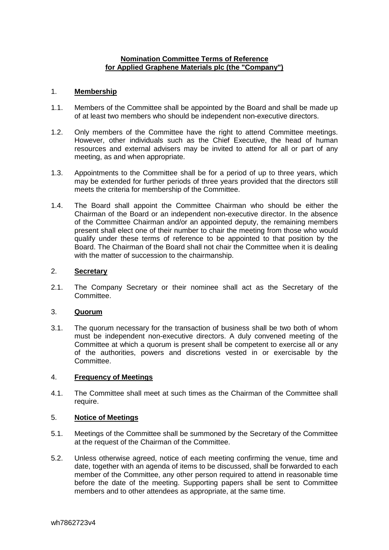# **Nomination Committee Terms of Reference for Applied Graphene Materials plc (the "Company")**

## 1. **Membership**

- 1.1. Members of the Committee shall be appointed by the Board and shall be made up of at least two members who should be independent non-executive directors.
- 1.2. Only members of the Committee have the right to attend Committee meetings. However, other individuals such as the Chief Executive, the head of human resources and external advisers may be invited to attend for all or part of any meeting, as and when appropriate.
- 1.3. Appointments to the Committee shall be for a period of up to three years, which may be extended for further periods of three years provided that the directors still meets the criteria for membership of the Committee.
- 1.4. The Board shall appoint the Committee Chairman who should be either the Chairman of the Board or an independent non-executive director. In the absence of the Committee Chairman and/or an appointed deputy, the remaining members present shall elect one of their number to chair the meeting from those who would qualify under these terms of reference to be appointed to that position by the Board. The Chairman of the Board shall not chair the Committee when it is dealing with the matter of succession to the chairmanship.

### 2. **Secretary**

2.1. The Company Secretary or their nominee shall act as the Secretary of the Committee.

# 3. **Quorum**

3.1. The quorum necessary for the transaction of business shall be two both of whom must be independent non-executive directors. A duly convened meeting of the Committee at which a quorum is present shall be competent to exercise all or any of the authorities, powers and discretions vested in or exercisable by the Committee.

# 4. **Frequency of Meetings**

4.1. The Committee shall meet at such times as the Chairman of the Committee shall require.

# 5. **Notice of Meetings**

- 5.1. Meetings of the Committee shall be summoned by the Secretary of the Committee at the request of the Chairman of the Committee.
- 5.2. Unless otherwise agreed, notice of each meeting confirming the venue, time and date, together with an agenda of items to be discussed, shall be forwarded to each member of the Committee, any other person required to attend in reasonable time before the date of the meeting. Supporting papers shall be sent to Committee members and to other attendees as appropriate, at the same time.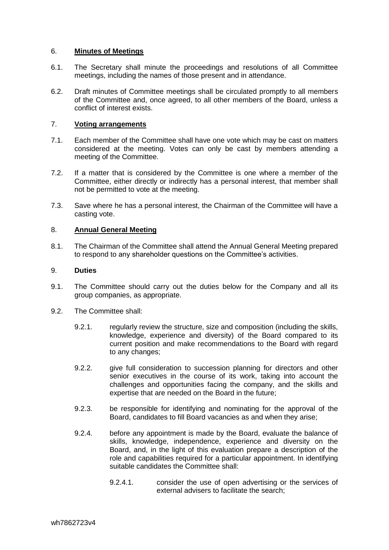### 6. **Minutes of Meetings**

- 6.1. The Secretary shall minute the proceedings and resolutions of all Committee meetings, including the names of those present and in attendance.
- 6.2. Draft minutes of Committee meetings shall be circulated promptly to all members of the Committee and, once agreed, to all other members of the Board, unless a conflict of interest exists.

### 7. **Voting arrangements**

- 7.1. Each member of the Committee shall have one vote which may be cast on matters considered at the meeting. Votes can only be cast by members attending a meeting of the Committee.
- 7.2. If a matter that is considered by the Committee is one where a member of the Committee, either directly or indirectly has a personal interest, that member shall not be permitted to vote at the meeting.
- 7.3. Save where he has a personal interest, the Chairman of the Committee will have a casting vote.

#### 8. **Annual General Meeting**

8.1. The Chairman of the Committee shall attend the Annual General Meeting prepared to respond to any shareholder questions on the Committee's activities.

#### 9. **Duties**

- 9.1. The Committee should carry out the duties below for the Company and all its group companies, as appropriate.
- 9.2. The Committee shall:
	- 9.2.1. regularly review the structure, size and composition (including the skills, knowledge, experience and diversity) of the Board compared to its current position and make recommendations to the Board with regard to any changes;
	- 9.2.2. give full consideration to succession planning for directors and other senior executives in the course of its work, taking into account the challenges and opportunities facing the company, and the skills and expertise that are needed on the Board in the future;
	- 9.2.3. be responsible for identifying and nominating for the approval of the Board, candidates to fill Board vacancies as and when they arise;
	- 9.2.4. before any appointment is made by the Board, evaluate the balance of skills, knowledge, independence, experience and diversity on the Board, and, in the light of this evaluation prepare a description of the role and capabilities required for a particular appointment. In identifying suitable candidates the Committee shall:
		- 9.2.4.1. consider the use of open advertising or the services of external advisers to facilitate the search;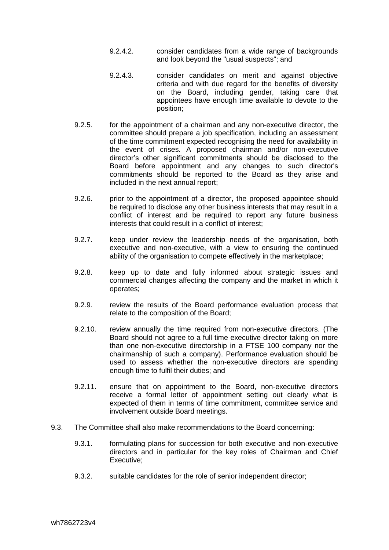- 9.2.4.2. consider candidates from a wide range of backgrounds and look beyond the "usual suspects"; and
- 9.2.4.3. consider candidates on merit and against objective criteria and with due regard for the benefits of diversity on the Board, including gender, taking care that appointees have enough time available to devote to the position;
- 9.2.5. for the appointment of a chairman and any non-executive director, the committee should prepare a job specification, including an assessment of the time commitment expected recognising the need for availability in the event of crises. A proposed chairman and/or non-executive director's other significant commitments should be disclosed to the Board before appointment and any changes to such director's commitments should be reported to the Board as they arise and included in the next annual report;
- 9.2.6. prior to the appointment of a director, the proposed appointee should be required to disclose any other business interests that may result in a conflict of interest and be required to report any future business interests that could result in a conflict of interest;
- 9.2.7. keep under review the leadership needs of the organisation, both executive and non-executive, with a view to ensuring the continued ability of the organisation to compete effectively in the marketplace;
- 9.2.8. keep up to date and fully informed about strategic issues and commercial changes affecting the company and the market in which it operates;
- 9.2.9. review the results of the Board performance evaluation process that relate to the composition of the Board;
- 9.2.10. review annually the time required from non-executive directors. (The Board should not agree to a full time executive director taking on more than one non-executive directorship in a FTSE 100 company nor the chairmanship of such a company). Performance evaluation should be used to assess whether the non-executive directors are spending enough time to fulfil their duties; and
- 9.2.11. ensure that on appointment to the Board, non-executive directors receive a formal letter of appointment setting out clearly what is expected of them in terms of time commitment, committee service and involvement outside Board meetings.
- 9.3. The Committee shall also make recommendations to the Board concerning:
	- 9.3.1. formulating plans for succession for both executive and non-executive directors and in particular for the key roles of Chairman and Chief Executive;
	- 9.3.2. suitable candidates for the role of senior independent director;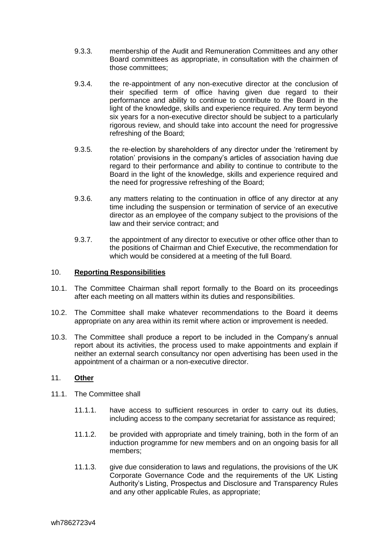- 9.3.3. membership of the Audit and Remuneration Committees and any other Board committees as appropriate, in consultation with the chairmen of those committees;
- 9.3.4. the re-appointment of any non-executive director at the conclusion of their specified term of office having given due regard to their performance and ability to continue to contribute to the Board in the light of the knowledge, skills and experience required. Any term beyond six years for a non-executive director should be subject to a particularly rigorous review, and should take into account the need for progressive refreshing of the Board;
- 9.3.5. the re-election by shareholders of any director under the 'retirement by rotation' provisions in the company's articles of association having due regard to their performance and ability to continue to contribute to the Board in the light of the knowledge, skills and experience required and the need for progressive refreshing of the Board;
- 9.3.6. any matters relating to the continuation in office of any director at any time including the suspension or termination of service of an executive director as an employee of the company subject to the provisions of the law and their service contract; and
- 9.3.7. the appointment of any director to executive or other office other than to the positions of Chairman and Chief Executive, the recommendation for which would be considered at a meeting of the full Board.

## 10. **Reporting Responsibilities**

- 10.1. The Committee Chairman shall report formally to the Board on its proceedings after each meeting on all matters within its duties and responsibilities.
- 10.2. The Committee shall make whatever recommendations to the Board it deems appropriate on any area within its remit where action or improvement is needed.
- 10.3. The Committee shall produce a report to be included in the Company's annual report about its activities, the process used to make appointments and explain if neither an external search consultancy nor open advertising has been used in the appointment of a chairman or a non-executive director.

### 11. **Other**

- 11.1. The Committee shall
	- 11.1.1. have access to sufficient resources in order to carry out its duties, including access to the company secretariat for assistance as required;
	- 11.1.2. be provided with appropriate and timely training, both in the form of an induction programme for new members and on an ongoing basis for all members;
	- 11.1.3. give due consideration to laws and regulations, the provisions of the UK Corporate Governance Code and the requirements of the UK Listing Authority's Listing, Prospectus and Disclosure and Transparency Rules and any other applicable Rules, as appropriate;